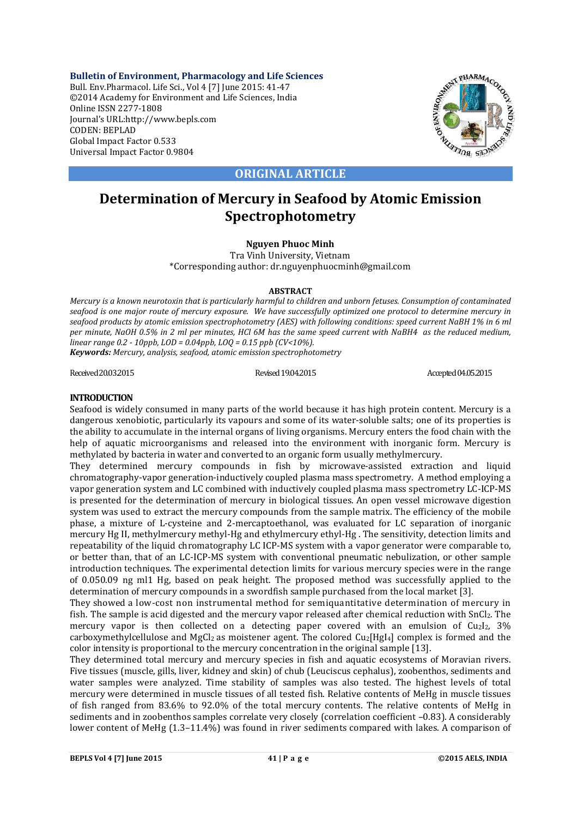**Bulletin of Environment, Pharmacology and Life Sciences** Bull. Env.Pharmacol. Life Sci., Vol 4 [7] June 2015: 41-47 ©2014 Academy for Environment and Life Sciences, India Online ISSN 2277-1808 Journal's URL:http://www.bepls.com CODEN: BEPLAD Global Impact Factor 0.533 Universal Impact Factor 0.9804



**ORIGINAL ARTICLE**

# **Determination of Mercury in Seafood by Atomic Emission Spectrophotometry**

## **Nguyen Phuoc Minh**

Tra Vinh University, Vietnam \*Corresponding author: dr.nguyenphuocminh@gmail.com

### **ABSTRACT**

*Mercury is a known neurotoxin that is particularly harmful to children and unborn fetuses. Consumption of contaminated seafood is one major route of mercury exposure. We have successfully optimized one protocol to determine mercury in seafood products by atomic emission spectrophotometry (AES) with following conditions: speed current NaBH 1% in 6 ml per minute, NaOH 0.5% in 2 ml per minutes, HCl 6M has the same speed current with NaBH4 as the reduced medium, linear range 0.2 - 10ppb, LOD = 0.04ppb, LOQ = 0.15 ppb (CV<10%).* 

*Keywords: Mercury, analysis, seafood, atomic emission spectrophotometry*

Received20.03.2015 Revised19.04.2015 Accepted04.05.2015

# **INTRODUCTION**

Seafood is widely consumed in many parts of the world because it has high protein content. Mercury is a dangerous xenobiotic, particularly its vapours and some of its water-soluble salts; one of its properties is the ability to accumulate in the internal organs of living organisms. Mercury enters the food chain with the help of aquatic microorganisms and released into the environment with inorganic form. Mercury is methylated by bacteria in water and converted to an organic form usually methylmercury.

They determined mercury compounds in fish by microwave-assisted extraction and liquid chromatography-vapor generation-inductively coupled plasma mass spectrometry. A method employing a vapor generation system and LC combined with inductively coupled plasma mass spectrometry LC-ICP-MS is presented for the determination of mercury in biological tissues. An open vessel microwave digestion system was used to extract the mercury compounds from the sample matrix. The efficiency of the mobile phase, a mixture of L-cysteine and 2-mercaptoethanol, was evaluated for LC separation of inorganic mercury Hg II, methylmercury methyl-Hg and ethylmercury ethyl-Hg. The sensitivity, detection limits and repeatability of the liquid chromatography LC ICP-MS system with a vapor generator were comparable to, or better than, that of an LC-ICP-MS system with conventional pneumatic nebulization, or other sample introduction techniques. The experimental detection limits for various mercury species were in the range of 0.050.09 ng ml1 Hg, based on peak height. The proposed method was successfully applied to the determination of mercury compounds in a swordfish sample purchased from the local market [3].

They showed a low-cost non instrumental method for semiquantitative determination of mercury in fish. The sample is acid digested and the mercury vapor released after chemical reduction with SnCl<sub>2</sub>. The mercury vapor is then collected on a detecting paper covered with an emulsion of  $Cu<sub>2</sub>I<sub>2</sub>$ , 3% carboxymethylcellulose and MgCl<sub>2</sub> as moistener agent. The colored  $Cu<sub>2</sub>[HgI<sub>4</sub>]$  complex is formed and the color intensity is proportional to the mercury concentration in the original sample [13].

They determined total mercury and mercury species in fish and aquatic ecosystems of Moravian rivers. Five tissues (muscle, gills, liver, kidney and skin) of chub (Leuciscus cephalus), zoobenthos, sediments and water samples were analyzed. Time stability of samples was also tested. The highest levels of total mercury were determined in muscle tissues of all tested fish. Relative contents of MeHg in muscle tissues of fish ranged from 83.6% to 92.0% of the total mercury contents. The relative contents of MeHg in sediments and in zoobenthos samples correlate very closely (correlation coefficient -0.83). A considerably lower content of MeHg (1.3–11.4%) was found in river sediments compared with lakes. A comparison of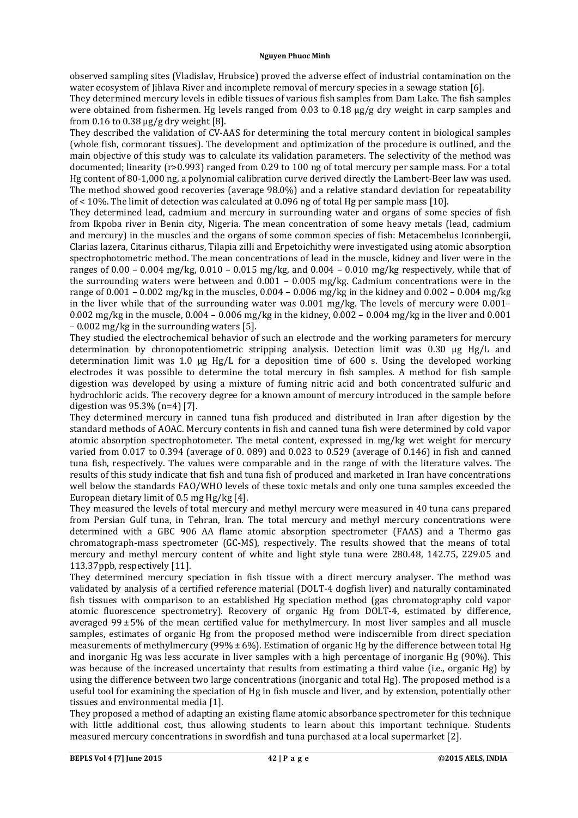observed sampling sites (Vladislav, Hrubsice) proved the adverse effect of industrial contamination on the water ecosystem of lihlava River and incomplete removal of mercury species in a sewage station [6].

They determined mercury levels in edible tissues of various fish samples from Dam Lake. The fish samples were obtained from fishermen. Hg levels ranged from 0.03 to 0.18  $\mu$ g/g dry weight in carp samples and from  $0.16$  to  $0.38 \mu g/g$  dry weight [8].

They described the validation of CV-AAS for determining the total mercury content in biological samples (whole fish, cormorant tissues). The development and optimization of the procedure is outlined, and the main objective of this study was to calculate its validation parameters. The selectivity of the method was documented; linearity  $(r>0.993)$  ranged from 0.29 to 100 ng of total mercury per sample mass. For a total Hg content of 80-1,000 ng, a polynomial calibration curve derived directly the Lambert-Beer law was used. The method showed good recoveries (average 98.0%) and a relative standard deviation for repeatability of  $\lt 10\%$ . The limit of detection was calculated at 0.096 ng of total Hg per sample mass [10].

They determined lead, cadmium and mercury in surrounding water and organs of some species of fish from Ikpoba river in Benin city, Nigeria. The mean concentration of some heavy metals (lead, cadmium and mercury) in the muscles and the organs of some common species of fish: Metacembelus Iconnbergii, Clarias lazera, Citarinus citharus, Tilapia zilli and Erpetoichithy were investigated using atomic absorption spectrophotometric method. The mean concentrations of lead in the muscle, kidney and liver were in the ranges of  $0.00 - 0.004$  mg/kg,  $0.010 - 0.015$  mg/kg, and  $0.004 - 0.010$  mg/kg respectively, while that of the surrounding waters were between and  $0.001 - 0.005$  mg/kg. Cadmium concentrations were in the range of  $0.001 - 0.002$  mg/kg in the muscles,  $0.004 - 0.006$  mg/kg in the kidney and  $0.002 - 0.004$  mg/kg in the liver while that of the surrounding water was  $0.001$  mg/kg. The levels of mercury were  $0.001 0.002$  mg/kg in the muscle,  $0.004 - 0.006$  mg/kg in the kidney,  $0.002 - 0.004$  mg/kg in the liver and  $0.001$  $-0.002$  mg/kg in the surrounding waters [5].

They studied the electrochemical behavior of such an electrode and the working parameters for mercury determination by chronopotentiometric stripping analysis. Detection limit was  $0.30 \text{ µg Hg/L}$  and determination limit was 1.0  $\mu$ g Hg/L for a deposition time of 600 s. Using the developed working electrodes it was possible to determine the total mercury in fish samples. A method for fish sample digestion was developed by using a mixture of fuming nitric acid and both concentrated sulfuric and hydrochloric acids. The recovery degree for a known amount of mercury introduced in the sample before digestion was  $95.3\%$  (n=4) [7].

They determined mercury in canned tuna fish produced and distributed in Iran after digestion by the standard methods of AOAC. Mercury contents in fish and canned tuna fish were determined by cold vapor atomic absorption spectrophotometer. The metal content, expressed in  $mg/kg$  wet weight for mercury varied from  $0.017$  to  $0.394$  (average of  $0.089$ ) and  $0.023$  to  $0.529$  (average of  $0.146$ ) in fish and canned tuna fish, respectively. The values were comparable and in the range of with the literature valves. The results of this study indicate that fish and tuna fish of produced and marketed in Iran have concentrations well below the standards FAO/WHO levels of these toxic metals and only one tuna samples exceeded the European dietary limit of 0.5 mg Hg/kg [4].

They measured the levels of total mercury and methyl mercury were measured in 40 tuna cans prepared from Persian Gulf tuna, in Tehran, Iran. The total mercury and methyl mercury concentrations were determined with a GBC 906 AA flame atomic absorption spectrometer (FAAS) and a Thermo gas chromatograph-mass spectrometer (GC-MS), respectively. The results showed that the means of total mercury and methyl mercury content of white and light style tuna were 280.48, 142.75, 229.05 and 113.37ppb, respectively [11].

They determined mercury speciation in fish tissue with a direct mercury analyser. The method was validated by analysis of a certified reference material (DOLT-4 dogfish liver) and naturally contaminated fish tissues with comparison to an established Hg speciation method (gas chromatography cold vapor atomic fluorescence spectrometry). Recovery of organic Hg from DOLT-4, estimated by difference, averaged  $99\pm5\%$  of the mean certified value for methylmercury. In most liver samples and all muscle samples, estimates of organic Hg from the proposed method were indiscernible from direct speciation measurements of methylmercury  $(99% \pm 6\%)$ . Estimation of organic Hg by the difference between total Hg and inorganic Hg was less accurate in liver samples with a high percentage of inorganic Hg (90%). This was because of the increased uncertainty that results from estimating a third value (i.e., organic Hg) by using the difference between two large concentrations (inorganic and total Hg). The proposed method is a useful tool for examining the speciation of Hg in fish muscle and liver, and by extension, potentially other tissues and environmental media [1].

They proposed a method of adapting an existing flame atomic absorbance spectrometer for this technique with little additional cost, thus allowing students to learn about this important technique. Students measured mercury concentrations in swordfish and tuna purchased at a local supermarket [2].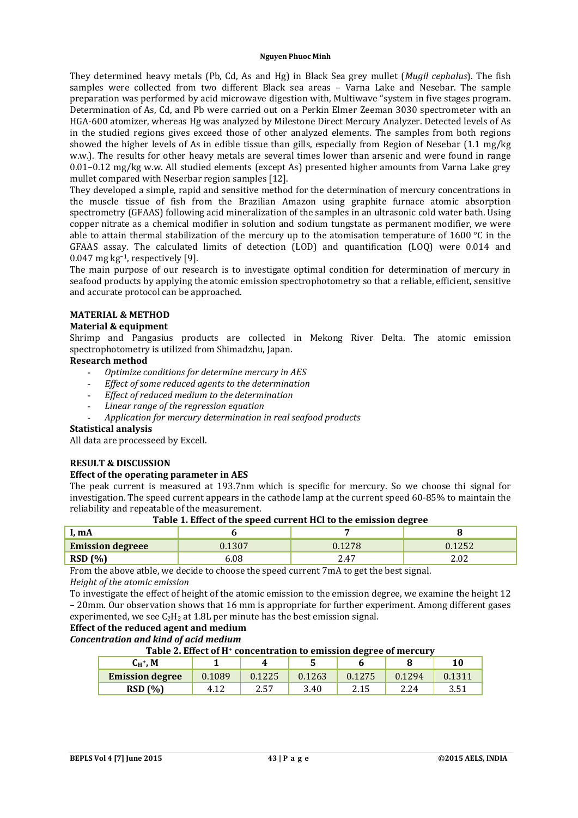They determined heavy metals (Pb, Cd, As and Hg) in Black Sea grey mullet (*Mugil cephalus*). The fish samples were collected from two different Black sea areas - Varna Lake and Nesebar. The sample preparation was performed by acid microwave digestion with, Multiwave "system in five stages program. Determination of As, Cd, and Pb were carried out on a Perkin Elmer Zeeman 3030 spectrometer with an HGA-600 atomizer, whereas Hg was analyzed by Milestone Direct Mercury Analyzer. Detected levels of As in the studied regions gives exceed those of other analyzed elements. The samples from both regions showed the higher levels of As in edible tissue than gills, especially from Region of Nesebar  $(1.1 \text{ mg/kg})$ w.w.). The results for other heavy metals are several times lower than arsenic and were found in range  $0.01-0.12$  mg/kg w.w. All studied elements (except As) presented higher amounts from Varna Lake grey mullet compared with Neserbar region samples [12].

They developed a simple, rapid and sensitive method for the determination of mercury concentrations in the muscle tissue of fish from the Brazilian Amazon using graphite furnace atomic absorption spectrometry (GFAAS) following acid mineralization of the samples in an ultrasonic cold water bath. Using copper nitrate as a chemical modifier in solution and sodium tungstate as permanent modifier, we were able to attain thermal stabilization of the mercury up to the atomisation temperature of  $1600 °C$  in the GFAAS assay. The calculated limits of detection (LOD) and quantification (LOQ) were 0.014 and 0.047 mg kg<sup>-1</sup>, respectively [9].

The main purpose of our research is to investigate optimal condition for determination of mercury in seafood products by applying the atomic emission spectrophotometry so that a reliable, efficient, sensitive and accurate protocol can be approached.

# **MATERIAL & METHOD**

### **Material & equipment**

Shrimp and Pangasius products are collected in Mekong River Delta. The atomic emission spectrophotometry is utilized from Shimadzhu, Japan.

## **Research method**

- *Optimize conditions for determine mercury in AES*
- *Effect of some reduced agents to the determination*
- *Effect of reduced medium to the determination*
- *Linear range of the regression equation*
- *Application for mercury determination in real seafood products*

### **Statistical analysis**

All data are processeed by Excell.

# **RESULT & DISCUSSION**

### **Effect of the operating parameter in AES**

The peak current is measured at 193.7nm which is specific for mercury. So we choose thi signal for investigation. The speed current appears in the cathode lamp at the current speed 60-85% to maintain the reliability and repeatable of the measurement.

| Table 1. Encer of the specu carrent from to the emission acquee |        |        |        |  |  |  |  |
|-----------------------------------------------------------------|--------|--------|--------|--|--|--|--|
| I. mA                                                           |        |        |        |  |  |  |  |
| <b>Emission degreee</b>                                         | J.1307 | 0.1278 | 0.1252 |  |  |  |  |
| <b>RSD</b> (%)                                                  | 6.08   | 2.47   | 2.02   |  |  |  |  |

# **Table 1. Effect of the speed current HCl to the emission degree**

From the above atble, we decide to choose the speed current 7mA to get the best signal. *Height of the atomic emission* 

To investigate the effect of height of the atomic emission to the emission degree, we examine the height 12 – 20mm. Our observation shows that 16 mm is appropriate for further experiment. Among different gases experimented, we see  $C_2H_2$  at 1.8L per minute has the best emission signal.

**Effect of the reduced agent and medium**

# *Concentration and kind of acid medium*

# **Table 2. Effect of H+ concentration to emission degree of mercury**

| $\textsf{C}_{\textsf{H}}^{\textsf{+}}, \textsf{M}$ |           | 4      |        |        |        | $10\,$ |
|----------------------------------------------------|-----------|--------|--------|--------|--------|--------|
| <b>Emission degree</b>                             | 1089<br>0 | 0.1225 | 0.1263 | 0.1275 | 0.1294 |        |
| RSD(%)                                             | 4         | 2.57   | 3.40   | 2.15   | 2.24   | 3.51   |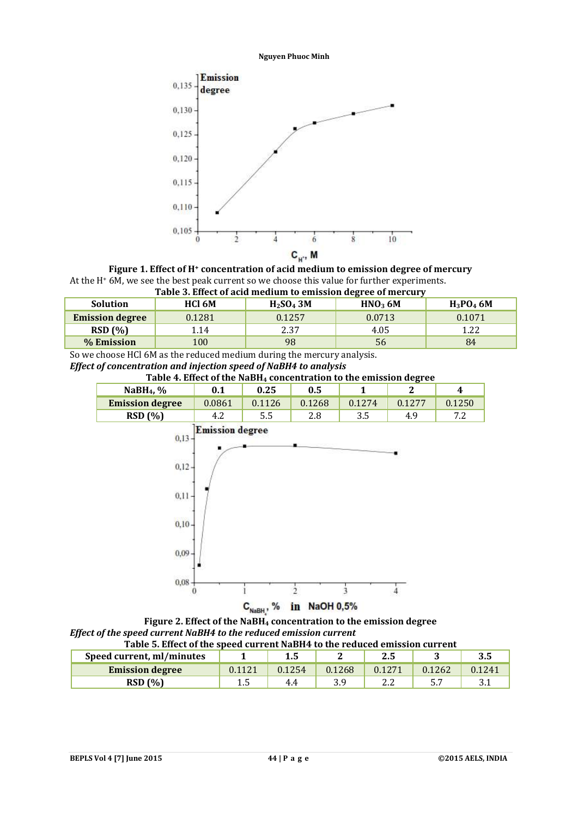

**Figure 1. Effect of H+ concentration of acid medium to emission degree of mercury** At the  $H^+$  6M, we see the best peak current so we choose this value for further experiments.



| Table 5. Effect of acid incurant to emission degree of mercury |        |                                   |                     |              |  |  |  |
|----------------------------------------------------------------|--------|-----------------------------------|---------------------|--------------|--|--|--|
| <b>Solution</b>                                                | HCl 6M | H <sub>2</sub> SO <sub>4</sub> 3M | HNO <sub>3</sub> 6M | $H_3PO_4$ 6M |  |  |  |
| <b>Emission degree</b>                                         | 0.1281 | 0.1257                            | 0.0713              | 0.1071       |  |  |  |
| RSD(%)                                                         | 1.14   | 2.37                              | 4.05                | 1.22         |  |  |  |
| % Emission                                                     | 100    | 98                                | 56                  | 84           |  |  |  |

So we choose HCl 6M as the reduced medium during the mercury analysis. *Effect of concentration and injection speed of NaBH4 to analysis* 

**Table 4. Effect of the NaBH4 concentration to the emission degree**



 $C_{NabH}$ , % in NaOH 0,5%

**Figure 2. Effect of the NaBH4 concentration to the emission degree** *Effect of the speed current NaBH4 to the reduced emission current*<br>Table E. Effect of the speed current NaBH4 to the red **Table 5. Effect of the speed current NaBH4 to the reduced emission current**

| Table 5. Effect of the speed current NaBH4 to the reduced emission current |        |        |        |        |        |        |  |
|----------------------------------------------------------------------------|--------|--------|--------|--------|--------|--------|--|
| Speed current, ml/minutes                                                  |        |        |        | 2.5    |        | 3.5    |  |
| <b>Emission degree</b>                                                     | 0.1121 | 0.1254 | 0.1268 | 0.1271 | 0.1262 | 0.1241 |  |
| RSD(%)                                                                     |        | 4.4    |        |        |        |        |  |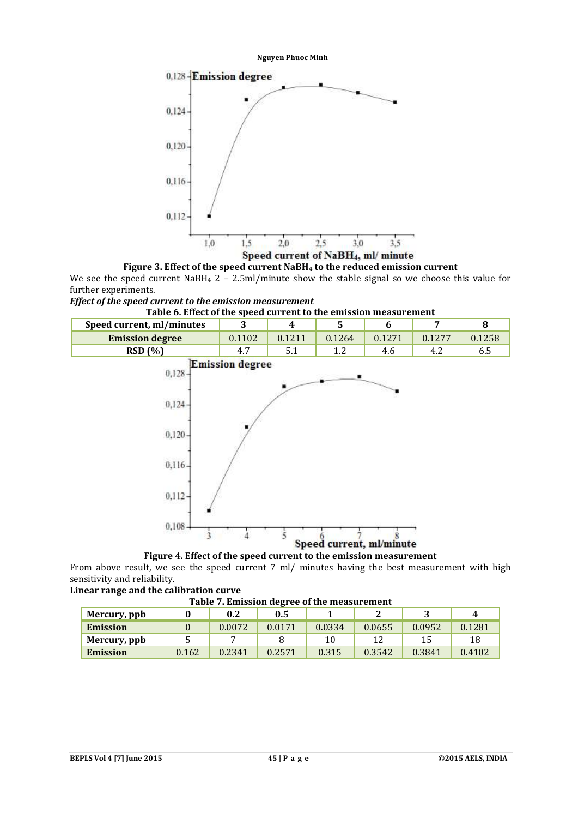



We see the speed current NaBH<sub>4</sub> 2 – 2.5ml/minute show the stable signal so we choose this value for further experiments.

# *Effect of the speed current to the emission measurement*





**Figure 4. Effect of the speed current to the emission measurement**

From above result, we see the speed current 7 ml/ minutes having the best measurement with high sensitivity and reliability.

**Linear range and the calibration curve**

**Table 7. Emission degree of the measurement**

| Tuble 71 minisolon ucgree of the incubin ement |       |        |        |        |        |        |        |
|------------------------------------------------|-------|--------|--------|--------|--------|--------|--------|
| Mercury, ppb                                   |       | 0.2    | 0.5    |        |        |        | Д,     |
| <b>Emission</b>                                |       | 0.0072 | 0.0171 | 0.0334 | 0.0655 | 0.0952 | 0.1281 |
| Mercury, ppb                                   |       |        |        |        |        |        | 18     |
| <b>Emission</b>                                | 0.162 | 0.2341 | 0.2571 | 0.315  | 0.3542 | 0.3841 | 0.4102 |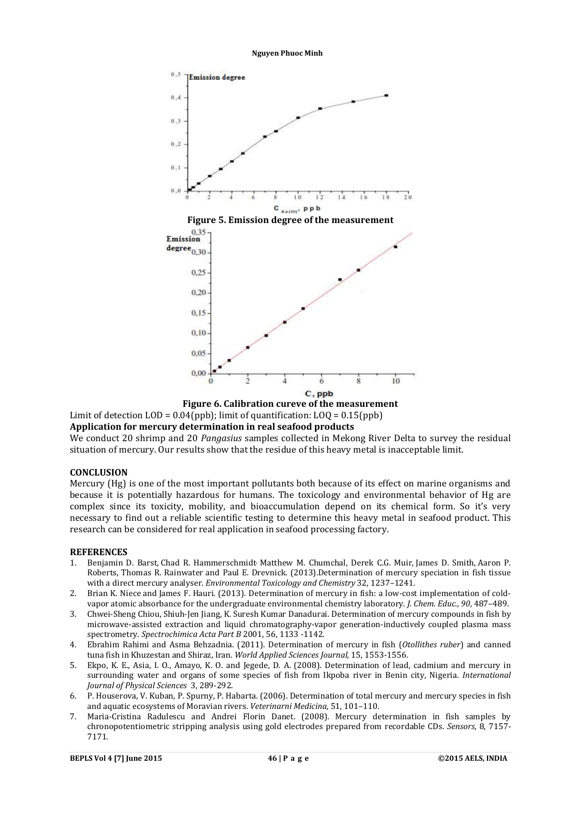

**Figure 6. Calibration cureve of the measurement** Limit of detection  $\text{LOD} = 0.04(\text{ppb})$ ; limit of quantification:  $\text{LOQ} = 0.15(\text{ppb})$ 

### **Application for mercury determination in real seafood products**

We conduct 20 shrimp and 20 *Pangasius* samples collected in Mekong River Delta to survey the residual situation of mercury. Our results show that the residue of this heavy metal is inacceptable limit.

### **CONCLUSION**

Mercury (Hg) is one of the most important pollutants both because of its effect on marine organisms and because it is potentially hazardous for humans. The toxicology and environmental behavior of Hg are complex since its toxicity, mobility, and bioaccumulation depend on its chemical form. So it's very necessary to find out a reliable scientific testing to determine this heavy metal in seafood product. This research can be considered for real application in seafood processing factory.

#### **REFERENCES**

- 1. Benjamin D. Barst, Chad R. Hammerschmidt Matthew M. Chumchal, Derek C.G. Muir, James D. Smith, Aaron P. Roberts, Thomas R. Rainwater and Paul E. Drevnick. (2013).Determination of mercury speciation in fish tissue with a direct mercury analyser. *Environmental Toxicology and Chemistry* 32, 1237-1241.
- 2. Brian K. Niece and James F. Hauri. (2013). Determination of mercury in fish: a low-cost implementation of coldvapor atomic absorbance for the undergraduate environmental chemistry laboratory. *J. Chem. Educ.*, 90, 487-489.
- 3. Chwei-Sheng Chiou, Shiuh-Jen Jiang, K. Suresh Kumar Danadurai. Determination of mercury compounds in fish by microwave-assisted extraction and liquid chromatography-vapor generation-inductively coupled plasma mass spectrometry. Spectrochimica Acta Part B 2001, 56, 1133 -1142.
- 4. Ebrahim Rahimi and Asma Behzadnia. (2011). Determination of mercury in fish (*Otollithes ruber*) and canned tuna fish in Khuzestan and Shiraz, Iran. *World Applied Sciences Journal*, 15, 1553-1556.
- 5. Ekpo, K. E., Asia, I. O., Amayo, K. O. and Jegede, D. A. (2008). Determination of lead, cadmium and mercury in surrounding water and organs of some species of fish from Ikpoba river in Benin city, Nigeria. *International Journal of Physical Sciences* 3, 289-292.
- 6. P. Houserova, V. Kuban, P. Spurny, P. Habarta. (2006). Determination of total mercury and mercury species in fish and aquatic ecosystems of Moravian rivers. *Veterinarni Medicina*, 51, 101-110.
- 7. Maria-Cristina Radulescu and Andrei Florin Danet. (2008). Mercury determination in fish samples by chronopotentiometric stripping analysis using gold electrodes prepared from recordable CDs. *Sensors*, 8, 7157-7171.